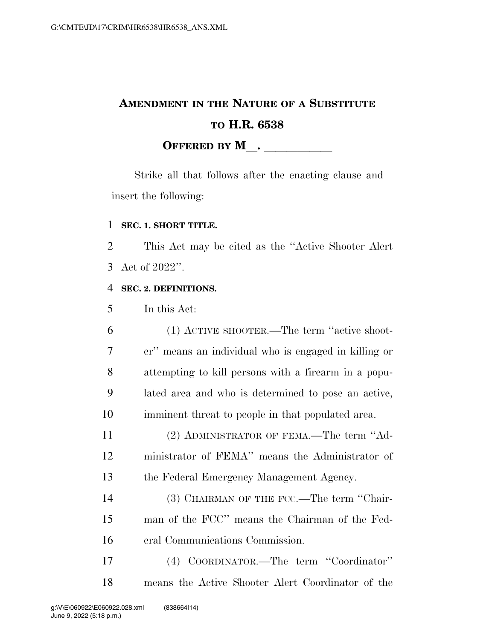# **AMENDMENT IN THE NATURE OF A SUBSTITUTE TO H.R. 6538 OFFERED BY M**.

Strike all that follows after the enacting clause and insert the following:

### **SEC. 1. SHORT TITLE.**

 This Act may be cited as the ''Active Shooter Alert Act of 2022''.

### **SEC. 2. DEFINITIONS.**

In this Act:

 (1) ACTIVE SHOOTER.—The term ''active shoot- er'' means an individual who is engaged in killing or attempting to kill persons with a firearm in a popu- lated area and who is determined to pose an active, imminent threat to people in that populated area.

 (2) ADMINISTRATOR OF FEMA.—The term ''Ad- ministrator of FEMA'' means the Administrator of the Federal Emergency Management Agency.

14 (3) CHAIRMAN OF THE FCC.—The term "Chair- man of the FCC'' means the Chairman of the Fed-eral Communications Commission.

 (4) COORDINATOR.—The term ''Coordinator'' means the Active Shooter Alert Coordinator of the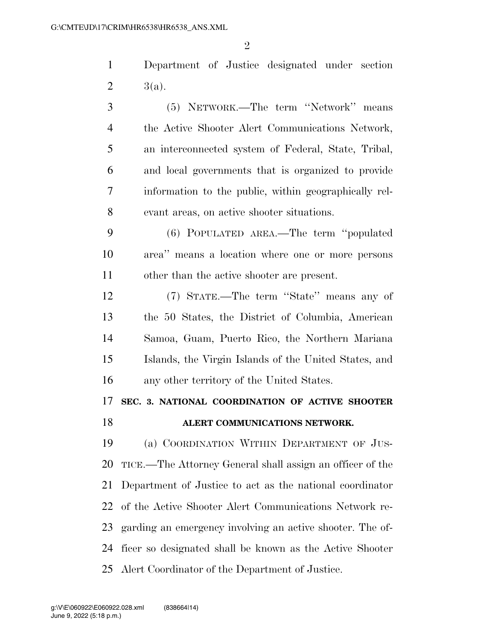Department of Justice designated under section 2  $3(a)$ .

 (5) NETWORK.—The term ''Network'' means the Active Shooter Alert Communications Network, an interconnected system of Federal, State, Tribal, and local governments that is organized to provide information to the public, within geographically rel-evant areas, on active shooter situations.

 (6) POPULATED AREA.—The term ''populated area'' means a location where one or more persons other than the active shooter are present.

 (7) STATE.—The term ''State'' means any of the 50 States, the District of Columbia, American Samoa, Guam, Puerto Rico, the Northern Mariana Islands, the Virgin Islands of the United States, and any other territory of the United States.

### **SEC. 3. NATIONAL COORDINATION OF ACTIVE SHOOTER ALERT COMMUNICATIONS NETWORK.**

 (a) COORDINATION WITHIN DEPARTMENT OF JUS- TICE.—The Attorney General shall assign an officer of the Department of Justice to act as the national coordinator of the Active Shooter Alert Communications Network re- garding an emergency involving an active shooter. The of- ficer so designated shall be known as the Active Shooter Alert Coordinator of the Department of Justice.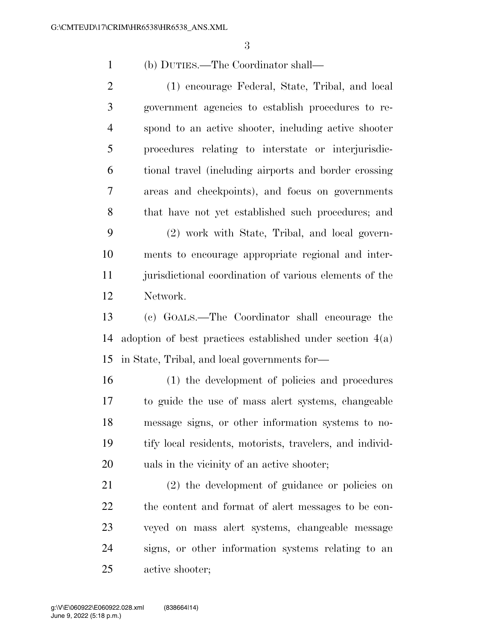(b) DUTIES.—The Coordinator shall—

 (1) encourage Federal, State, Tribal, and local government agencies to establish procedures to re- spond to an active shooter, including active shooter 5 procedures relating to interstate or interjurisdic- tional travel (including airports and border crossing areas and checkpoints), and focus on governments that have not yet established such procedures; and (2) work with State, Tribal, and local govern- ments to encourage appropriate regional and inter- jurisdictional coordination of various elements of the Network.

 (c) GOALS.—The Coordinator shall encourage the adoption of best practices established under section 4(a) in State, Tribal, and local governments for—

 (1) the development of policies and procedures to guide the use of mass alert systems, changeable message signs, or other information systems to no- tify local residents, motorists, travelers, and individ-uals in the vicinity of an active shooter;

 (2) the development of guidance or policies on the content and format of alert messages to be con- veyed on mass alert systems, changeable message signs, or other information systems relating to an active shooter;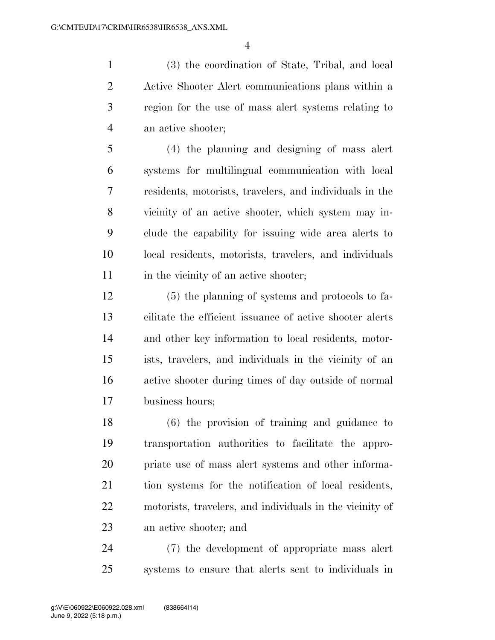(3) the coordination of State, Tribal, and local Active Shooter Alert communications plans within a region for the use of mass alert systems relating to an active shooter;

 (4) the planning and designing of mass alert systems for multilingual communication with local residents, motorists, travelers, and individuals in the vicinity of an active shooter, which system may in- clude the capability for issuing wide area alerts to local residents, motorists, travelers, and individuals 11 in the vicinity of an active shooter;

 (5) the planning of systems and protocols to fa- cilitate the efficient issuance of active shooter alerts and other key information to local residents, motor- ists, travelers, and individuals in the vicinity of an active shooter during times of day outside of normal business hours;

 (6) the provision of training and guidance to transportation authorities to facilitate the appro- priate use of mass alert systems and other informa- tion systems for the notification of local residents, motorists, travelers, and individuals in the vicinity of an active shooter; and

 (7) the development of appropriate mass alert systems to ensure that alerts sent to individuals in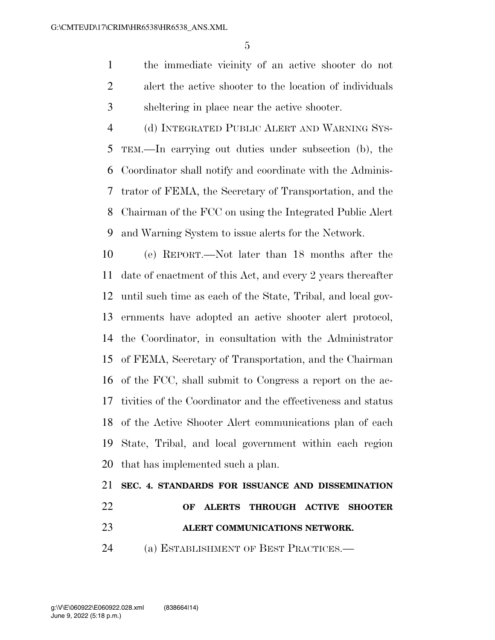the immediate vicinity of an active shooter do not alert the active shooter to the location of individuals sheltering in place near the active shooter.

 (d) INTEGRATED PUBLIC ALERT AND WARNING SYS- TEM.—In carrying out duties under subsection (b), the Coordinator shall notify and coordinate with the Adminis- trator of FEMA, the Secretary of Transportation, and the Chairman of the FCC on using the Integrated Public Alert and Warning System to issue alerts for the Network.

 (e) REPORT.—Not later than 18 months after the date of enactment of this Act, and every 2 years thereafter until such time as each of the State, Tribal, and local gov- ernments have adopted an active shooter alert protocol, the Coordinator, in consultation with the Administrator of FEMA, Secretary of Transportation, and the Chairman of the FCC, shall submit to Congress a report on the ac- tivities of the Coordinator and the effectiveness and status of the Active Shooter Alert communications plan of each State, Tribal, and local government within each region that has implemented such a plan.

## **SEC. 4. STANDARDS FOR ISSUANCE AND DISSEMINATION OF ALERTS THROUGH ACTIVE SHOOTER ALERT COMMUNICATIONS NETWORK.**  (a) ESTABLISHMENT OF BEST PRACTICES.—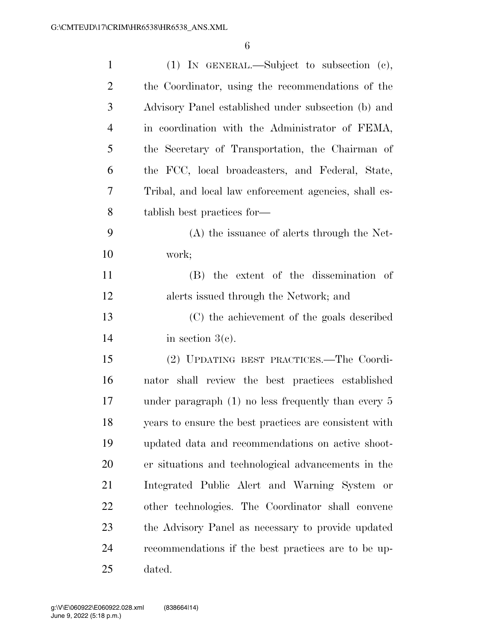| $\mathbf{1}$   | (1) IN GENERAL.—Subject to subsection (c),             |
|----------------|--------------------------------------------------------|
| $\overline{2}$ | the Coordinator, using the recommendations of the      |
| 3              | Advisory Panel established under subsection (b) and    |
| $\overline{4}$ | in coordination with the Administrator of FEMA,        |
| 5              | the Secretary of Transportation, the Chairman of       |
| 6              | the FCC, local broadcasters, and Federal, State,       |
| 7              | Tribal, and local law enforcement agencies, shall es-  |
| 8              | tablish best practices for—                            |
| 9              | (A) the issuance of alerts through the Net-            |
| 10             | work;                                                  |
| 11             | (B) the extent of the dissemination of                 |
| 12             | alerts issued through the Network; and                 |
| 13             | (C) the achievement of the goals described             |
| 14             | in section $3(c)$ .                                    |
| 15             | (2) UPDATING BEST PRACTICES.—The Coordi-               |
| 16             | nator shall review the best practices established      |
| 17             | under paragraph $(1)$ no less frequently than every 5  |
| 18             | years to ensure the best practices are consistent with |
| 19             | updated data and recommendations on active shoot-      |
| 20             | er situations and technological advancements in the    |
| 21             | Integrated Public Alert and Warning System or          |
| 22             | other technologies. The Coordinator shall convene      |
| 23             | the Advisory Panel as necessary to provide updated     |
| 24             | recommendations if the best practices are to be up-    |
| 25             | dated.                                                 |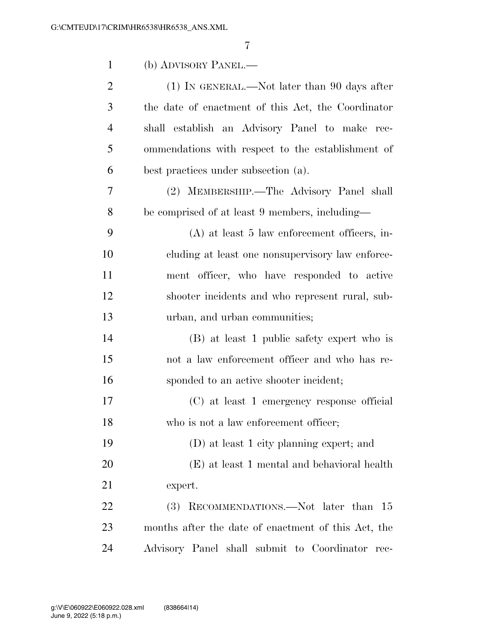| $\mathbf{1}$   | (b) ADVISORY PANEL.—                                |
|----------------|-----------------------------------------------------|
| $\overline{2}$ | $(1)$ In GENERAL.—Not later than 90 days after      |
| 3              | the date of enactment of this Act, the Coordinator  |
| $\overline{4}$ | shall establish an Advisory Panel to make rec-      |
| 5              | ommendations with respect to the establishment of   |
| 6              | best practices under subsection (a).                |
| 7              | (2) MEMBERSHIP.-The Advisory Panel shall            |
| 8              | be comprised of at least 9 members, including—      |
| 9              | $(A)$ at least 5 law enforcement officers, in-      |
| 10             | cluding at least one nonsupervisory law enforce-    |
| 11             | ment officer, who have responded to active          |
| 12             | shooter incidents and who represent rural, sub-     |
| 13             | urban, and urban communities;                       |
| 14             | (B) at least 1 public safety expert who is          |
| 15             | not a law enforcement officer and who has re-       |
| 16             | sponded to an active shooter incident;              |
| 17             | (C) at least 1 emergency response official          |
| 18             | who is not a law enforcement officer;               |
| 19             | (D) at least 1 city planning expert; and            |
| 20             | (E) at least 1 mental and behavioral health         |
| 21             | expert.                                             |
| 22             | (3) RECOMMENDATIONS.—Not later than 15              |
| 23             | months after the date of enactment of this Act, the |
| 24             | Advisory Panel shall submit to Coordinator<br>rec-  |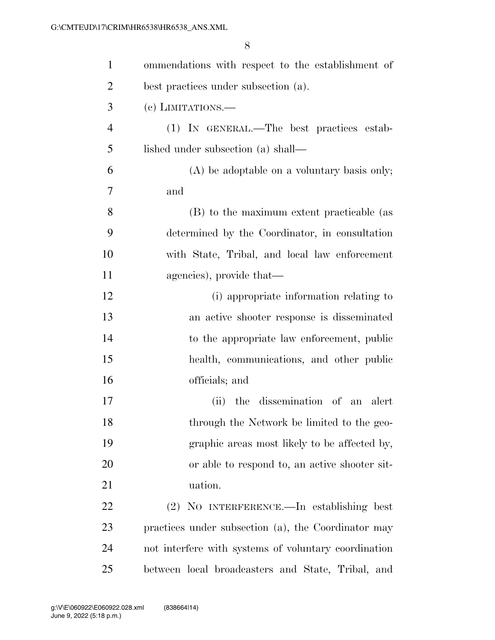| $\mathbf{1}$   | ommendations with respect to the establishment of    |
|----------------|------------------------------------------------------|
| $\overline{2}$ | best practices under subsection (a).                 |
| 3              | (c) LIMITATIONS.—                                    |
| $\overline{4}$ | (1) IN GENERAL.—The best practices estab-            |
| 5              | lished under subsection (a) shall—                   |
| 6              | $(A)$ be adoptable on a voluntary basis only;        |
| 7              | and                                                  |
| 8              | (B) to the maximum extent practicable (as            |
| 9              | determined by the Coordinator, in consultation       |
| 10             | with State, Tribal, and local law enforcement        |
| 11             | agencies), provide that—                             |
| 12             | (i) appropriate information relating to              |
| 13             | an active shooter response is disseminated           |
| 14             | to the appropriate law enforcement, public           |
| 15             | health, communications, and other public             |
| 16             | officials; and                                       |
| 17             | the dissemination of an alert<br>(ii)                |
| 18             | through the Network be limited to the geo-           |
| 19             | graphic areas most likely to be affected by,         |
| 20             | or able to respond to, an active shooter sit-        |
| 21             | uation.                                              |
| 22             | (2) NO INTERFERENCE.—In establishing best            |
| 23             | practices under subsection (a), the Coordinator may  |
| 24             | not interfere with systems of voluntary coordination |
| 25             | between local broadcasters and State, Tribal, and    |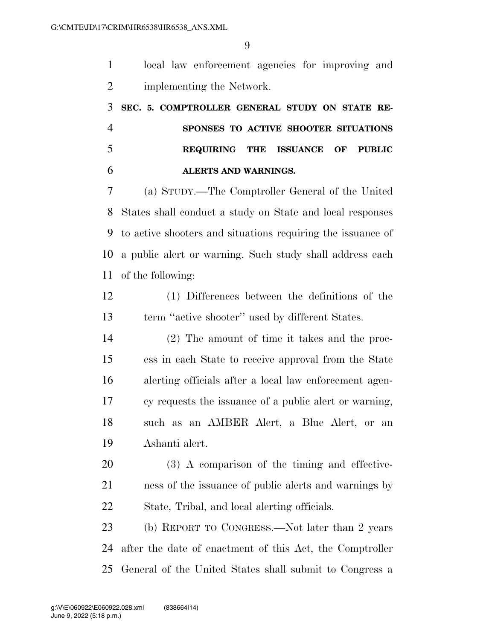local law enforcement agencies for improving and implementing the Network.

 **SEC. 5. COMPTROLLER GENERAL STUDY ON STATE RE- SPONSES TO ACTIVE SHOOTER SITUATIONS REQUIRING THE ISSUANCE OF PUBLIC ALERTS AND WARNINGS.** 

 (a) STUDY.—The Comptroller General of the United States shall conduct a study on State and local responses to active shooters and situations requiring the issuance of a public alert or warning. Such study shall address each of the following:

 (1) Differences between the definitions of the term ''active shooter'' used by different States.

 (2) The amount of time it takes and the proc- ess in each State to receive approval from the State alerting officials after a local law enforcement agen- cy requests the issuance of a public alert or warning, such as an AMBER Alert, a Blue Alert, or an Ashanti alert.

 (3) A comparison of the timing and effective- ness of the issuance of public alerts and warnings by State, Tribal, and local alerting officials.

 (b) REPORT TO CONGRESS.—Not later than 2 years after the date of enactment of this Act, the Comptroller General of the United States shall submit to Congress a